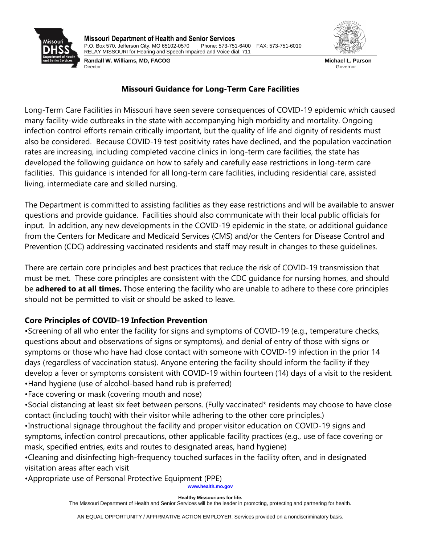

**Missouri Department of Health and Senior Services** P.O. Box 570, Jefferson City, MO 65102-0570 Phone: 573-751-6400 FAX: 573-751-6010 RELAY MISSOURI for Hearing and Speech Impaired and Voice dial: 711

**Randall W. Williams, MD, FACOG** Director



**Michael L. Parson** Governor

## **Missouri Guidance for Long-Term Care Facilities**

Long-Term Care Facilities in Missouri have seen severe consequences of COVID-19 epidemic which caused many facility-wide outbreaks in the state with accompanying high morbidity and mortality. Ongoing infection control efforts remain critically important, but the quality of life and dignity of residents must also be considered. Because COVID-19 test positivity rates have declined, and the population vaccination rates are increasing, including completed vaccine clinics in long-term care facilities, the state has developed the following guidance on how to safely and carefully ease restrictions in long-term care facilities. This guidance is intended for all long-term care facilities, including residential care, assisted living, intermediate care and skilled nursing.

The Department is committed to assisting facilities as they ease restrictions and will be available to answer questions and provide guidance. Facilities should also communicate with their local public officials for input. In addition, any new developments in the COVID-19 epidemic in the state, or additional guidance from the Centers for Medicare and Medicaid Services (CMS) and/or the Centers for Disease Control and Prevention (CDC) addressing vaccinated residents and staff may result in changes to these guidelines.

There are certain core principles and best practices that reduce the risk of COVID-19 transmission that must be met. These core principles are consistent with the CDC guidance for nursing homes, and should be **adhered to at all times.** Those entering the facility who are unable to adhere to these core principles should not be permitted to visit or should be asked to leave.

# **Core Principles of COVID-19 Infection Prevention**

•Screening of all who enter the facility for signs and symptoms of COVID-19 (e.g., temperature checks, questions about and observations of signs or symptoms), and denial of entry of those with signs or symptoms or those who have had close contact with someone with COVID-19 infection in the prior 14 days (regardless of vaccination status). Anyone entering the facility should inform the facility if they develop a fever or symptoms consistent with COVID-19 within fourteen (14) days of a visit to the resident. •Hand hygiene (use of alcohol-based hand rub is preferred)

•Face covering or mask (covering mouth and nose)

•Social distancing at least six feet between persons. (Fully vaccinated\* residents may choose to have close contact (including touch) with their visitor while adhering to the other core principles.) •Instructional signage throughout the facility and proper visitor education on COVID-19 signs and

symptoms, infection control precautions, other applicable facility practices (e.g., use of face covering or mask, specified entries, exits and routes to designated areas, hand hygiene)

•Cleaning and disinfecting high-frequency touched surfaces in the facility often, and in designated visitation areas after each visit

•Appropriate use of Personal Protective Equipment (PPE)

www.health.mo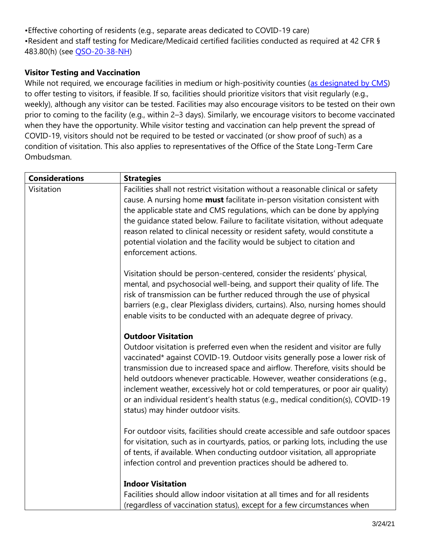•Effective cohorting of residents (e.g., separate areas dedicated to COVID-19 care) •Resident and staff testing for Medicare/Medicaid certified facilities conducted as required at 42 CFR § 483.80(h) (see [QSO-20-38-NH\)](https://www.cms.gov/files/document/qso-20-38-nh.pdf)

## **Visitor Testing and Vaccination**

While not required, we encourage facilities in medium or high-positivity counties [\(as designated by CMS\)](https://data.cms.gov/stories/s/COVID-19-Nursing-Home-Data/bkwz-xpvg) to offer testing to visitors, if feasible. If so, facilities should prioritize visitors that visit regularly (e.g., weekly), although any visitor can be tested. Facilities may also encourage visitors to be tested on their own prior to coming to the facility (e.g., within 2–3 days). Similarly, we encourage visitors to become vaccinated when they have the opportunity. While visitor testing and vaccination can help prevent the spread of COVID-19, visitors should not be required to be tested or vaccinated (or show proof of such) as a condition of visitation. This also applies to representatives of the Office of the State Long-Term Care Ombudsman.

| <b>Considerations</b> | <b>Strategies</b>                                                                                                                                                                                                                                                                                                                                                                                                                                                                                                                                                |
|-----------------------|------------------------------------------------------------------------------------------------------------------------------------------------------------------------------------------------------------------------------------------------------------------------------------------------------------------------------------------------------------------------------------------------------------------------------------------------------------------------------------------------------------------------------------------------------------------|
| Visitation            | Facilities shall not restrict visitation without a reasonable clinical or safety<br>cause. A nursing home must facilitate in-person visitation consistent with<br>the applicable state and CMS regulations, which can be done by applying<br>the guidance stated below. Failure to facilitate visitation, without adequate<br>reason related to clinical necessity or resident safety, would constitute a<br>potential violation and the facility would be subject to citation and<br>enforcement actions.                                                       |
|                       | Visitation should be person-centered, consider the residents' physical,<br>mental, and psychosocial well-being, and support their quality of life. The<br>risk of transmission can be further reduced through the use of physical<br>barriers (e.g., clear Plexiglass dividers, curtains). Also, nursing homes should<br>enable visits to be conducted with an adequate degree of privacy.                                                                                                                                                                       |
|                       | <b>Outdoor Visitation</b><br>Outdoor visitation is preferred even when the resident and visitor are fully<br>vaccinated* against COVID-19. Outdoor visits generally pose a lower risk of<br>transmission due to increased space and airflow. Therefore, visits should be<br>held outdoors whenever practicable. However, weather considerations (e.g.,<br>inclement weather, excessively hot or cold temperatures, or poor air quality)<br>or an individual resident's health status (e.g., medical condition(s), COVID-19<br>status) may hinder outdoor visits. |
|                       | For outdoor visits, facilities should create accessible and safe outdoor spaces<br>for visitation, such as in courtyards, patios, or parking lots, including the use<br>of tents, if available. When conducting outdoor visitation, all appropriate<br>infection control and prevention practices should be adhered to.                                                                                                                                                                                                                                          |
|                       | <b>Indoor Visitation</b><br>Facilities should allow indoor visitation at all times and for all residents<br>(regardless of vaccination status), except for a few circumstances when                                                                                                                                                                                                                                                                                                                                                                              |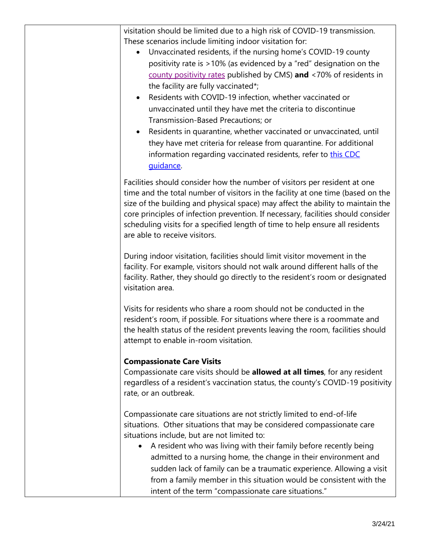visitation should be limited due to a high risk of COVID-19 transmission. These scenarios include limiting indoor visitation for:

- Unvaccinated residents, if the nursing home's COVID-19 county positivity rate is >10% (as evidenced by a "red" designation on the [county positivity rates](https://data.cms.gov/stories/s/COVID-19-Nursing-Home-Data/bkwz-xpvg) published by CMS) **and** <70% of residents in the facility are fully vaccinated\*;
- Residents with COVID-19 infection, whether vaccinated or unvaccinated until they have met the criteria to discontinue Transmission-Based Precautions; or
- Residents in quarantine, whether vaccinated or unvaccinated, until they have met criteria for release from quarantine. For additional information regarding vaccinated residents, refer to this CDC [guidance.](https://www.cdc.gov/coronavirus/2019-ncov/hcp/infection-control-after-vaccination.html)

Facilities should consider how the number of visitors per resident at one time and the total number of visitors in the facility at one time (based on the size of the building and physical space) may affect the ability to maintain the core principles of infection prevention. If necessary, facilities should consider scheduling visits for a specified length of time to help ensure all residents are able to receive visitors.

During indoor visitation, facilities should limit visitor movement in the facility. For example, visitors should not walk around different halls of the facility. Rather, they should go directly to the resident's room or designated visitation area.

Visits for residents who share a room should not be conducted in the resident's room, if possible. For situations where there is a roommate and the health status of the resident prevents leaving the room, facilities should attempt to enable in-room visitation.

# **Compassionate Care Visits**

Compassionate care visits should be **allowed at all times**, for any resident regardless of a resident's vaccination status, the county's COVID-19 positivity rate, or an outbreak.

Compassionate care situations are not strictly limited to end-of-life situations. Other situations that may be considered compassionate care situations include, but are not limited to:

 A resident who was living with their family before recently being admitted to a nursing home, the change in their environment and sudden lack of family can be a traumatic experience. Allowing a visit from a family member in this situation would be consistent with the intent of the term "compassionate care situations."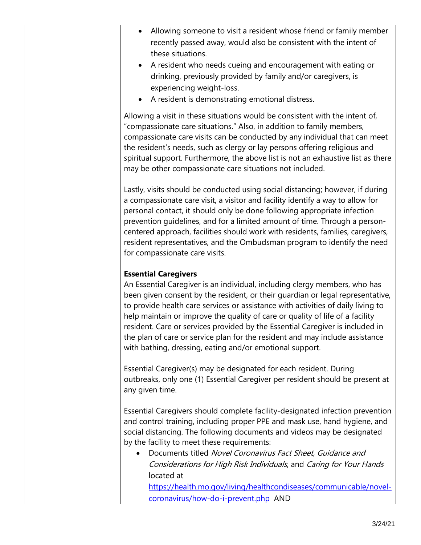| Allowing someone to visit a resident whose friend or family member<br>recently passed away, would also be consistent with the intent of<br>these situations.<br>A resident who needs cueing and encouragement with eating or<br>drinking, previously provided by family and/or caregivers, is<br>experiencing weight-loss.<br>A resident is demonstrating emotional distress.                                                                                                                                                                                                                 |  |
|-----------------------------------------------------------------------------------------------------------------------------------------------------------------------------------------------------------------------------------------------------------------------------------------------------------------------------------------------------------------------------------------------------------------------------------------------------------------------------------------------------------------------------------------------------------------------------------------------|--|
| Allowing a visit in these situations would be consistent with the intent of,<br>"compassionate care situations." Also, in addition to family members,<br>compassionate care visits can be conducted by any individual that can meet<br>the resident's needs, such as clergy or lay persons offering religious and<br>spiritual support. Furthermore, the above list is not an exhaustive list as there<br>may be other compassionate care situations not included.                                                                                                                            |  |
| Lastly, visits should be conducted using social distancing; however, if during<br>a compassionate care visit, a visitor and facility identify a way to allow for<br>personal contact, it should only be done following appropriate infection<br>prevention guidelines, and for a limited amount of time. Through a person-<br>centered approach, facilities should work with residents, families, caregivers,<br>resident representatives, and the Ombudsman program to identify the need<br>for compassionate care visits.                                                                   |  |
| <b>Essential Caregivers</b><br>An Essential Caregiver is an individual, including clergy members, who has<br>been given consent by the resident, or their guardian or legal representative,<br>to provide health care services or assistance with activities of daily living to<br>help maintain or improve the quality of care or quality of life of a facility<br>resident. Care or services provided by the Essential Caregiver is included in<br>the plan of care or service plan for the resident and may include assistance<br>with bathing, dressing, eating and/or emotional support. |  |
| Essential Caregiver(s) may be designated for each resident. During<br>outbreaks, only one (1) Essential Caregiver per resident should be present at<br>any given time.                                                                                                                                                                                                                                                                                                                                                                                                                        |  |
| Essential Caregivers should complete facility-designated infection prevention<br>and control training, including proper PPE and mask use, hand hygiene, and<br>social distancing. The following documents and videos may be designated<br>by the facility to meet these requirements:<br>Documents titled Novel Coronavirus Fact Sheet, Guidance and<br>Considerations for High Risk Individuals, and Caring for Your Hands<br>located at                                                                                                                                                     |  |
| https://health.mo.gov/living/healthcondiseases/communicable/novel-                                                                                                                                                                                                                                                                                                                                                                                                                                                                                                                            |  |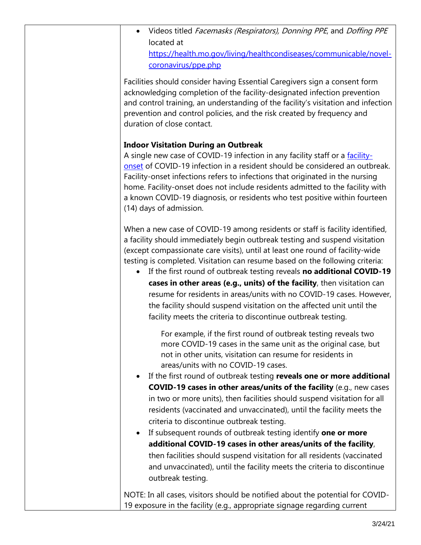Videos titled Facemasks (Respirators), Donning PPE, and Doffing PPE located at [https://health.mo.gov/living/healthcondiseases/communicable/novel](https://health.mo.gov/living/healthcondiseases/communicable/novel-coronavirus/ppe.php)[coronavirus/ppe.php](https://health.mo.gov/living/healthcondiseases/communicable/novel-coronavirus/ppe.php) 

Facilities should consider having Essential Caregivers sign a consent form acknowledging completion of the facility-designated infection prevention and control training, an understanding of the facility's visitation and infection prevention and control policies, and the risk created by frequency and duration of close contact.

# **Indoor Visitation During an Outbreak**

A single new case of COVID-19 infection in any facility staff or a [facility](https://www.cdc.gov/coronavirus/2019-ncov/hcp/nursing-homes-testing.html#nursing-home)[onset](https://www.cdc.gov/coronavirus/2019-ncov/hcp/nursing-homes-testing.html#nursing-home) of COVID-19 infection in a resident should be considered an outbreak. Facility-onset infections refers to infections that originated in the nursing home. Facility-onset does not include residents admitted to the facility with a known COVID-19 diagnosis, or residents who test positive within fourteen (14) days of admission.

When a new case of COVID-19 among residents or staff is facility identified, a facility should immediately begin outbreak testing and suspend visitation (except compassionate care visits), until at least one round of facility-wide testing is completed. Visitation can resume based on the following criteria:

 If the first round of outbreak testing reveals **no additional COVID-19 cases in other areas (e.g., units) of the facility**, then visitation can resume for residents in areas/units with no COVID-19 cases. However, the facility should suspend visitation on the affected unit until the facility meets the criteria to discontinue outbreak testing.

For example, if the first round of outbreak testing reveals two more COVID-19 cases in the same unit as the original case, but not in other units, visitation can resume for residents in areas/units with no COVID-19 cases.

- If the first round of outbreak testing **reveals one or more additional COVID-19 cases in other areas/units of the facility** (e.g., new cases in two or more units), then facilities should suspend visitation for all residents (vaccinated and unvaccinated), until the facility meets the criteria to discontinue outbreak testing.
- If subsequent rounds of outbreak testing identify **one or more additional COVID-19 cases in other areas/units of the facility**, then facilities should suspend visitation for all residents (vaccinated and unvaccinated), until the facility meets the criteria to discontinue outbreak testing.

NOTE: In all cases, visitors should be notified about the potential for COVID-19 exposure in the facility (e.g., appropriate signage regarding current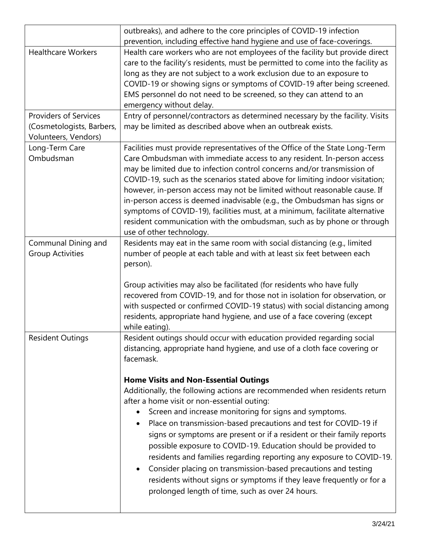|                              | outbreaks), and adhere to the core principles of COVID-19 infection                                                                           |
|------------------------------|-----------------------------------------------------------------------------------------------------------------------------------------------|
| <b>Healthcare Workers</b>    | prevention, including effective hand hygiene and use of face-coverings.                                                                       |
|                              | Health care workers who are not employees of the facility but provide direct                                                                  |
|                              | care to the facility's residents, must be permitted to come into the facility as                                                              |
|                              | long as they are not subject to a work exclusion due to an exposure to                                                                        |
|                              | COVID-19 or showing signs or symptoms of COVID-19 after being screened.<br>EMS personnel do not need to be screened, so they can attend to an |
|                              | emergency without delay.                                                                                                                      |
| <b>Providers of Services</b> | Entry of personnel/contractors as determined necessary by the facility. Visits                                                                |
| (Cosmetologists, Barbers,    | may be limited as described above when an outbreak exists.                                                                                    |
| Volunteers, Vendors)         |                                                                                                                                               |
| Long-Term Care               | Facilities must provide representatives of the Office of the State Long-Term                                                                  |
| Ombudsman                    | Care Ombudsman with immediate access to any resident. In-person access                                                                        |
|                              | may be limited due to infection control concerns and/or transmission of                                                                       |
|                              | COVID-19, such as the scenarios stated above for limiting indoor visitation;                                                                  |
|                              | however, in-person access may not be limited without reasonable cause. If                                                                     |
|                              | in-person access is deemed inadvisable (e.g., the Ombudsman has signs or                                                                      |
|                              | symptoms of COVID-19), facilities must, at a minimum, facilitate alternative                                                                  |
|                              | resident communication with the ombudsman, such as by phone or through                                                                        |
|                              | use of other technology.                                                                                                                      |
| Communal Dining and          | Residents may eat in the same room with social distancing (e.g., limited                                                                      |
| <b>Group Activities</b>      | number of people at each table and with at least six feet between each                                                                        |
|                              | person).                                                                                                                                      |
|                              |                                                                                                                                               |
|                              | Group activities may also be facilitated (for residents who have fully                                                                        |
|                              | recovered from COVID-19, and for those not in isolation for observation, or                                                                   |
|                              | with suspected or confirmed COVID-19 status) with social distancing among                                                                     |
|                              | residents, appropriate hand hygiene, and use of a face covering (except                                                                       |
|                              | while eating).                                                                                                                                |
| <b>Resident Outings</b>      | Resident outings should occur with education provided regarding social                                                                        |
|                              | distancing, appropriate hand hygiene, and use of a cloth face covering or                                                                     |
|                              | facemask.                                                                                                                                     |
|                              |                                                                                                                                               |
|                              | <b>Home Visits and Non-Essential Outings</b><br>Additionally, the following actions are recommended when residents return                     |
|                              | after a home visit or non-essential outing:                                                                                                   |
|                              | Screen and increase monitoring for signs and symptoms.                                                                                        |
|                              |                                                                                                                                               |
|                              | Place on transmission-based precautions and test for COVID-19 if<br>$\bullet$                                                                 |
|                              | signs or symptoms are present or if a resident or their family reports                                                                        |
|                              | possible exposure to COVID-19. Education should be provided to                                                                                |
|                              | residents and families regarding reporting any exposure to COVID-19.                                                                          |
|                              | Consider placing on transmission-based precautions and testing                                                                                |
|                              | residents without signs or symptoms if they leave frequently or for a                                                                         |
|                              | prolonged length of time, such as over 24 hours.                                                                                              |
|                              |                                                                                                                                               |